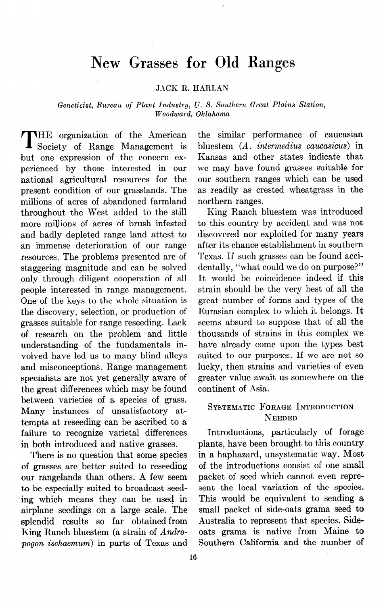# **New Grasses for Old Ranges**

#### JACK R. HARLAN

*Geneticist, Bureau of Plant Industry, U. S. Southern Great Plains Station, Woodward, Oklahoma* 

**T** HE organization of the American Society of Range Management is but one expression of the concern experienced by those interested in our national agricultural resources for the present condition of our grasslands. The millions of acres of abandoned farmland throughout the West added to the still more millions of acres of brush infested and badly depleted range land attest to an immense deterioration of our range resources. The problems presented are of staggering magnitude and can be solved only through diligent cooperation of all people interested in range management. One of the keys to the whole situation is the discovery, selection, or production of grasses suitable for range reseeding. Lack of research on the problem and little understanding of the fundamentals involved have led us to many blind alleys and misconceptions. Range management specialists are not yet generally aware of the great differences which may be found between varieties of a species of grass. Many instances of unsatisfactory attempts at reseeding can be ascribed to a failure to recognize varietal differences in both introduced and native grasses.

There is no question that some species of grasses are better suited to reseeding our rangelands than others. A few seem to be especially suited to broadcast seeding which means they can be used in airplane seedings on a large scale. The splendid results so far obtained from King Ranch bluestem (a strain of *Andropogon ischaemum)* in parts of Texas and the similar performance of Caucasian bluestem *(A. intermedius caucasicus)* in Kansas and other states indicate that we may have found grasses suitable for our southern ranges which can be used as readily as crested wheatgrass in the northern ranges.

King Ranch bluestem was introduced to this country by accideqt and was not discovered nor exploited for many years after its chance establishment in southern Texas. If such grasses can be found accidentally, "what could we do on purpose?" It would be coincidence indeed if this strain should be the very best of all the great number of forms and types of the Eurasian complex to which it belongs. It seems absurd to suppose that of all the thousands of strains in this complex we have already come upon the types best suited to our purposes. If we are not so lucky, then strains and varieties of even greater value await us somewhere on the continent of Asia.

## **SYSTEMATIC FORAGE INTRODUCTION NEEDED**

Introductions, particularly of forage plants, have been brought to this country in a haphazard, unsystematic way. Most of the introductions consist of one small packet of seed which cannot even represent the local variation of the species. This would be equivalent to sending a small packet of side-oats grama seed to Australia to represent that species. Sideoats grama is native from Maine to Southern California and the number of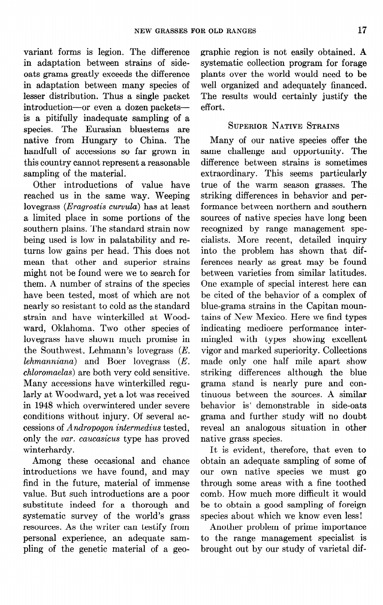variant forms is legion. The difference in adaptation between strains of sideoats grama greatly exceeds the difference in adaptation between many species of lesser distribution. Thus a single packet introduction-or even a dozen packetsis a pitifully inadequate sampling of a species. The Eurasian bluestems are native from Hungary to China. The handful1 of accessions so far grown in this country cannot represent a reasonable sampling of the material.

Other introductions of value have reached us in the same way. Weeping lovegrass ( $Eragrostis curvula$ ) has at least a limited place in some portions of the southern plains. The standard strain now being used is low in palatability and returns low gains per head. This does not mean that other and superior strains might not be found were we to search for them. A number of strains of the species have been tested, most of which are not nearly so resistant to cold as the standard strain and have winterkilled at Woodward, Oklahoma. Two other species of lovegrass have shown much promise in the Southwest. Lehmann's lovegrass (E. *Lehmanniana*) and Boer lovegrass  $(E, E)$ *chloromuelus)* are both very cold sensitive. Many accessions have winterkilled regularly at Woodward, yet a lot was received in 1948 which overwintered under severe conditions without injury. Of several accessions of *Andropogon intermedius* tested, only the *var. cuucusicus* type has proved winterhardy.

Among these occasional and chance introductions we have found, and may find in the future, material of immense value. But such introductions are a poor substitute indeed for a thorough and systematic survey of the world's grass resources. As the writer can testify from personal experience, an adequate sampling of the genetic material of a geographic region is not easily obtained. **A**  systematic collection program for forage plants over the world would need to be well organized and adequately financed. The results would certainly justify the effort.

### SUPERIOR NATIVE STRAINS

Many of our native species offer the same challenge and opportunity. The difference between strains is sometimes extraordinary. This seems particularly true of the warm season grasses. The striking differences in behavior and performance between northern and southern sources of native species have long been recognized by range management specialists. More recent, detailed inquiry into the problem has shown that differences nearly as great may be found between varieties from similar latitudes. One example of special interest here can be cited of the behavior of a complex of blue-grama strains in the Capitan mountains of New Mexico. Here we find types indicating mediocre performance intermingled with types showing excellent vigor and marked superiority. Collections made only one half mile apart show striking differences although the blue grama stand is nearly pure and continuous between the sources. A similar behavior is demonstrable in side-oats grama and further study will no doubt reveal an analogous situation in other native grass species.

It is evident, therefore, that even to obtain an adequate sampling of some of our own native species we must go through some areas with a fine toothed comb. How much more difficult it would be to obtain a good sampling of foreign species about which we know even less!

Another problem of prime importance to the range management specialist is brought out by our study of varietal dif-